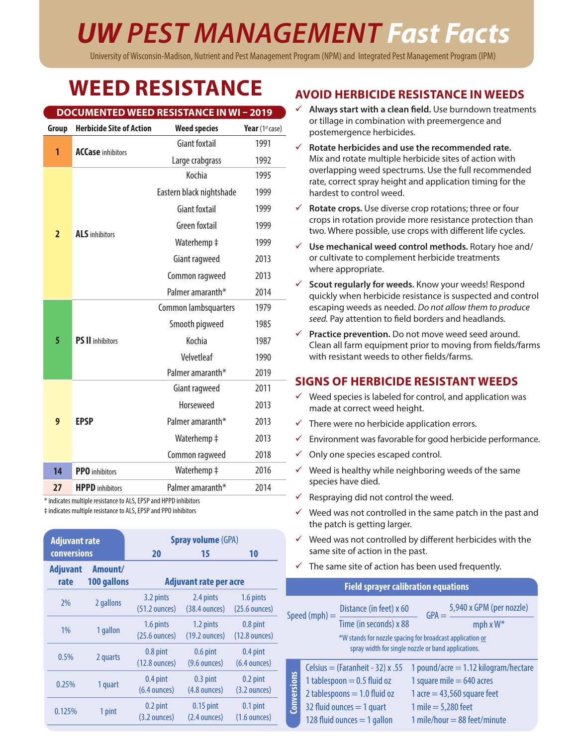# *UW PEST MANAGEMENT Fast Facts*

University of Wisconsin-Madison, Nutrient and Pest Management Program (NPM) and Integrated Pest Management Program (IPM)

## **WEED RESISTANCE**

|                |                                 | <b>DOCUMENTED WEED RESISTANCE IN WI-2019</b> |                 |  |  |
|----------------|---------------------------------|----------------------------------------------|-----------------|--|--|
| Group          | <b>Herbicide Site of Action</b> | <b>Weed species</b>                          | Year (1st case) |  |  |
| 1              | <b>ACCase inhibitors</b>        | <b>Giant foxtail</b>                         | 1991            |  |  |
|                |                                 | Large crabgrass                              | 1992            |  |  |
|                |                                 | Kochia                                       | 1995            |  |  |
|                |                                 | Eastern black nightshade                     | 1999            |  |  |
|                |                                 | <b>Giant foxtail</b>                         | 1999            |  |  |
|                |                                 | <b>Green foxtail</b>                         | 1999            |  |  |
| $\overline{2}$ | <b>ALS</b> inhibitors           | Waterhemp ‡                                  | 1999            |  |  |
|                |                                 | Giant ragweed                                | 2013            |  |  |
|                |                                 | Common ragweed                               | 2013            |  |  |
|                |                                 | Palmer amaranth*                             | 2014            |  |  |
|                |                                 | Common lambsquarters                         |                 |  |  |
|                |                                 | Smooth pigweed                               | 1985            |  |  |
| 5              | <b>PS II</b> inhibitors         | Kochia                                       | 1987            |  |  |
|                |                                 | Velvetleaf                                   | 1990            |  |  |
|                |                                 | Palmer amaranth*                             | 2019            |  |  |
|                |                                 | Giant ragweed                                | 2011            |  |  |
|                |                                 | Horseweed                                    | 2013            |  |  |
| 9              | <b>EPSP</b>                     | Palmer amaranth*                             | 2013            |  |  |
|                |                                 | Waterhemp ‡                                  | 2013            |  |  |
|                |                                 | Common ragweed                               | 2018            |  |  |
| 14             | <b>PPO</b> inhibitors           | Waterhemp ‡                                  | 2016            |  |  |
| 27             | <b>HPPD</b> inhibitors          | Palmer amaranth*                             | 2014            |  |  |

\* indicates multiple resistance to ALS, EPSP and HPPD inhibitors

‡ indicates multiple resistance to ALS, EPSP and PPO inhibitors

| <b>Adjuvant rate</b>    |                                                                                       | <b>Spray volume (GPA)</b>            |                                      |                                      |  |  |  |  |
|-------------------------|---------------------------------------------------------------------------------------|--------------------------------------|--------------------------------------|--------------------------------------|--|--|--|--|
| conversions             |                                                                                       | 20                                   | 15                                   | 10                                   |  |  |  |  |
| <b>Adjuvant</b><br>rate | Amount/<br>100 gallons                                                                | <b>Adjuvant rate per acre</b>        |                                      |                                      |  |  |  |  |
| 7%                      | 2 gallons                                                                             | 3.2 pints<br>$(51.2 \text{ ounces})$ | 2.4 pints<br>$(38.4 \text{ ounces})$ | 1.6 pints<br>$(25.6 \text{ ounces})$ |  |  |  |  |
| 1%                      | 1 gallon                                                                              | 1.6 pints<br>$(25.6 \text{ ounces})$ | 1.2 pints<br>$(19.2$ ounces)         | 0.8 pint<br>$(12.8 \text{ ounces})$  |  |  |  |  |
| 0.5%                    | 2 quarts                                                                              | 0.8 pint<br>$(12.8 \text{ ounces})$  | 0.6 pint<br>$(9.6 \text{ ounces})$   | 0.4 pint<br>$(6.4$ ounces)           |  |  |  |  |
| 0.25%                   | 1 quart                                                                               | 0.4 pint<br>$(6.4 \text{ ounces})$   | 0.3 pint<br>$(4.8 \text{ ounces})$   | 0.2 pint<br>$(3.2 \text{ ounces})$   |  |  |  |  |
| 0.125%                  | $0.15$ pint<br>0.2 pint<br>1 pint<br>$(2.4 \text{ ounces})$<br>$(3.2 \text{ ounces})$ |                                      | $0.1$ pint<br>$(1.6$ ounces)         |                                      |  |  |  |  |

#### **AVOID HERBICIDE RESISTANCE IN WEEDS**

- 9 **Always start with a clean field.** Use burndown treatments or tillage in combination with preemergence and postemergence herbicides.
- $\checkmark$  Rotate herbicides and use the recommended rate. Mix and rotate multiple herbicide sites of action with overlapping weed spectrums. Use the full recommended rate, correct spray height and application timing for the hardest to control weed.
- $\checkmark$  **Rotate crops.** Use diverse crop rotations; three or four crops in rotation provide more resistance protection than two. Where possible, use crops with different life cycles.
- 9 **Use mechanical weed control methods.** Rotary hoe and/ or cultivate to complement herbicide treatments where appropriate.
- 9 **Scout regularly for weeds.** Know your weeds! Respond quickly when herbicide resistance is suspected and control escaping weeds as needed. *Do not allow them to produce seed.* Pay attention to field borders and headlands.
- **√** Practice prevention. Do not move weed seed around. Clean all farm equipment prior to moving from fields/farms with resistant weeds to other fields/farms.

#### **SIGNS OF HERBICIDE RESISTANT WEEDS**

- $\checkmark$  Weed species is labeled for control, and application was made at correct weed height.
- $\checkmark$  There were no herbicide application errors.
- $\checkmark$  Environment was favorable for good herbicide performance.
- $\checkmark$  Only one species escaped control.
- $\checkmark$  Weed is healthy while neighboring weeds of the same species have died.
- $\checkmark$  Respraying did not control the weed.
- $\checkmark$  Weed was not controlled in the same patch in the past and the patch is getting larger.
- $\checkmark$  Weed was not controlled by different herbicides with the same site of action in the past.
- $\checkmark$  The same site of action has been used frequently.

|                    |                                            | <b>Field sprayer calibration equations</b>                                                                       |
|--------------------|--------------------------------------------|------------------------------------------------------------------------------------------------------------------|
|                    | Distance (in feet) x 60<br>Speed (mph) $=$ | 5,940 x GPM (per nozzle)<br>$GPA =$                                                                              |
|                    | Time (in seconds) x 88                     | mph $x W^*$                                                                                                      |
|                    |                                            | *W stands for nozzle spacing for broadcast application or<br>spray width for single nozzle or band applications. |
|                    | Celsius = (Faranheit - 32) $x$ .55         | 1 pound/acre $=$ 1.12 kilogram/hectare                                                                           |
| <b>Conversions</b> | 1 tablespoon $= 0.5$ fluid oz              | 1 square mile $= 640$ acres                                                                                      |
|                    | 2 tablespoons $= 1.0$ fluid oz             | 1 acre = $43,560$ square feet                                                                                    |
|                    | 32 fluid ounces $=$ 1 quart                | 1 mile = $5,280$ feet                                                                                            |
|                    | 128 fluid ounces $=$ 1 gallon              | 1 mile/hour $=$ 88 feet/minute                                                                                   |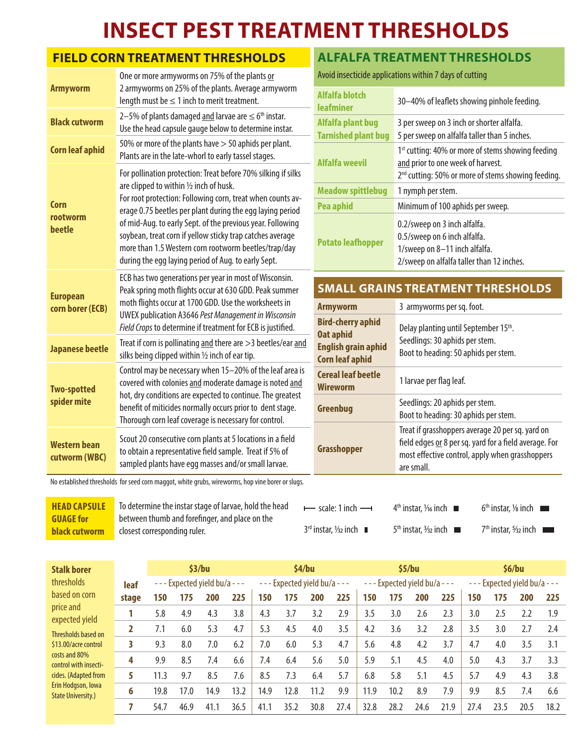## **INSECT PEST TREATMENT THRESHOLDS**

## **FIELD CORN TREATMENT THRESHOLDS**

| <b>Armyworm</b>                      | One or more armyworms on 75% of the plants or<br>2 armyworms on 25% of the plants. Average armyworm<br>length must be $\leq 1$ inch to merit treatment.                                                                                                                                                                                                                                                                                                                       |
|--------------------------------------|-------------------------------------------------------------------------------------------------------------------------------------------------------------------------------------------------------------------------------------------------------------------------------------------------------------------------------------------------------------------------------------------------------------------------------------------------------------------------------|
| <b>Black cutworm</b>                 | 2-5% of plants damaged and larvae are $\leq 6$ <sup>th</sup> instar.<br>Use the head capsule gauge below to determine instar.                                                                                                                                                                                                                                                                                                                                                 |
| <b>Corn leaf aphid</b>               | 50% or more of the plants have > 50 aphids per plant.<br>Plants are in the late-whorl to early tassel stages.                                                                                                                                                                                                                                                                                                                                                                 |
| Corn<br>rootworm<br>beetle           | For pollination protection: Treat before 70% silking if silks<br>are clipped to within 1/2 inch of husk.<br>For root protection: Following corn, treat when counts av-<br>erage 0.75 beetles per plant during the egg laying period<br>of mid-Aug. to early Sept. of the previous year. Following<br>soybean, treat corn if yellow sticky trap catches average<br>more than 1.5 Western corn rootworm beetles/trap/day<br>during the egg laying period of Aug. to early Sept. |
| <b>European</b><br>corn borer (ECB)  | ECB has two generations per year in most of Wisconsin.<br>Peak spring moth flights occur at 630 GDD. Peak summer<br>moth flights occur at 1700 GDD. Use the worksheets in<br><b>UWEX publication A3646 Pest Management in Wisconsin</b><br>Field Crops to determine if treatment for ECB is justified.                                                                                                                                                                        |
| <b>Japanese beetle</b>               | Treat if corn is pollinating and there are > 3 beetles/ear and<br>silks being clipped within 1/2 inch of ear tip.                                                                                                                                                                                                                                                                                                                                                             |
| <b>Two-spotted</b><br>spider mite    | Control may be necessary when 15-20% of the leaf area is<br>covered with colonies and moderate damage is noted and<br>hot, dry conditions are expected to continue. The greatest<br>benefit of miticides normally occurs prior to dent stage.<br>Thorough corn leaf coverage is necessary for control.                                                                                                                                                                        |
| <b>Western bean</b><br>cutworm (WBC) | Scout 20 consecutive corn plants at 5 locations in a field<br>to obtain a representative field sample. Treat if 5% of<br>sampled plants have egg masses and/or small larvae.                                                                                                                                                                                                                                                                                                  |

## **ALFALFA TREATMENT THRESHOLDS**

Avoid insecticide applications within 7 days of cutting

| Alfalfa blotch<br><b>leafminer</b> | 30-40% of leaflets showing pinhole feeding.                                                                                                |
|------------------------------------|--------------------------------------------------------------------------------------------------------------------------------------------|
| Alfalfa plant bug                  | 3 per sweep on 3 inch or shorter alfalfa.                                                                                                  |
| <b>Tarnished plant bug</b>         | 5 per sweep on alfalfa taller than 5 inches.                                                                                               |
| <b>Alfalfa weevil</b>              | 1 <sup>st</sup> cutting: 40% or more of stems showing feeding<br>and prior to one week of harvest.                                         |
|                                    | 2 <sup>nd</sup> cutting: 50% or more of stems showing feeding.                                                                             |
| <b>Meadow spittlebug</b>           | 1 nymph per stem.                                                                                                                          |
| Pea aphid                          | Minimum of 100 aphids per sweep.                                                                                                           |
| <b>Potato leafhopper</b>           | 0.2/sweep on 3 inch alfalfa.<br>0.5/sweep on 6 inch alfalfa.<br>1/sweep on 8-11 inch alfalfa.<br>2/sweep on alfalfa taller than 12 inches. |
|                                    |                                                                                                                                            |

## **SMALL GRAINS TREATMENT THRESHOLDS**

| <b>Armyworm</b>                                                                                      | 3 armyworms per sq. foot.                                                                                                                                                   |
|------------------------------------------------------------------------------------------------------|-----------------------------------------------------------------------------------------------------------------------------------------------------------------------------|
| <b>Bird-cherry aphid</b><br><b>Oat aphid</b><br><b>English grain aphid</b><br><b>Corn leaf aphid</b> | Delay planting until September 15th.<br>Seedlings: 30 aphids per stem.<br>Boot to heading: 50 aphids per stem.                                                              |
| <b>Cereal leaf beetle</b><br><b>Wireworm</b>                                                         | 1 larvae per flag leaf.                                                                                                                                                     |
| Greenbug                                                                                             | Seedlings: 20 aphids per stem.<br>Boot to heading: 30 aphids per stem.                                                                                                      |
| Grasshopper                                                                                          | Treat if grasshoppers average 20 per sq. yard on<br>field edges or 8 per sq. yard for a field average. For<br>most effective control, apply when grasshoppers<br>are small. |

No established thresholds for seed corn maggot, white grubs, wireworms, hop vine borer or slugs.

| <b>HEAD CAPSULE</b>                      | To determine the instar stage of larvae, hold the head                         | $\rightarrow$ scale: 1 inch $\rightarrow$       | $4th$ instar. $\frac{1}{16}$ inch | $6th$ instar, $\frac{1}{8}$ inch $\Box$ |
|------------------------------------------|--------------------------------------------------------------------------------|-------------------------------------------------|-----------------------------------|-----------------------------------------|
| <b>GUAGE for</b><br><b>black cutworm</b> | between thumb and forefinger, and place on the<br>closest corresponding ruler. | $3rd$ instar, $\frac{1}{2}$ inch $\blacksquare$ | $5th$ instar, $\frac{3}{2}$ inch  | 7 <sup>th</sup> instar, 5/32 inch       |

| <b>Stalk borer</b>                              |       |      |                         | \$3/bu |      |         | \$4/bu |                           |      |      |      | \$5/bu                         |      |      |      | \$6/bu                          |      |
|-------------------------------------------------|-------|------|-------------------------|--------|------|---------|--------|---------------------------|------|------|------|--------------------------------|------|------|------|---------------------------------|------|
| thresholds                                      | leaf  |      | --- Expected yield bu/a |        |      | $- - -$ |        | Expected yield bu/a - - - |      |      |      | $--$ Expected yield bu/a - - - |      |      |      | $---$ Expected yield bu/a - - - |      |
| based on corn                                   | stage | 150  | 175                     | 200    | 225  | 150     | 175    | 200                       | 225  | 150  | 175  | 200                            | 225  | 150  | 175  | 200                             | 225  |
| price and<br>expected yield                     |       | 5.8  | 4.9                     | 4.3    | 3.8  | 4.3     | 3.7    | 3.2                       | 2.9  | 3.5  | 3.0  | 2.6                            | 2.3  | 3.0  | 2.5  | 2.2                             | 1.9  |
| Thresholds based on                             |       | 7.1  | 6.0                     | 5.3    | 4.7  | 5.3     | 4.5    | 4.0                       | 3.5  | 4.2  | 3.6  | 3.2                            | 2.8  | 3.5  | 3.0  | 2.7                             | 2.4  |
| \$13,00/acre control                            |       | 9.3  | 8.0                     | 7.0    | 6.2  | 7.0     | 6.0    | 5.3                       | 4.7  | 5.6  | 4.8  | 4.2                            | 3.7  | 4.7  | 4.0  | 3.5                             | 3.1  |
| costs and 80%<br>control with insecti-          | 4     | 9.9  | 8.5                     | 7.4    | 6.6  | 7.4     | 6.4    | 5.6                       | 5.0  | 5.9  | 5.1  | 4.5                            | 4.0  | 5.0  | 4.3  | 3.7                             | 3.3  |
| cides. (Adapted from                            | 5     | 11.3 | 9.7                     | 8.5    | 7.6  | 8.5     | 7.3    | 6.4                       | 5.7  | 6.8  | 5.8  | 5.1                            | 4.5  | 5.7  | 4.9  | 4.3                             | 3.8  |
| Erin Hodgson, Iowa<br><b>State University.)</b> | 6     | 19.8 | 17.0                    | 14.9   | 13.2 | 14.9    | 12.8   | 11.2                      | 9.9  | 11.9 | 10.2 | 8.9                            | 7.9  | 9.9  | 8.5  | 7.4                             | 6.6  |
|                                                 |       | 54.7 | 46.9                    | 41.1   | 36.5 | 41.1    | 35.2   | 30.8                      | 27.4 | 32.8 | 28.2 | 24.6                           | 21.9 | 27.4 | 23.5 | 20.5                            | 18.2 |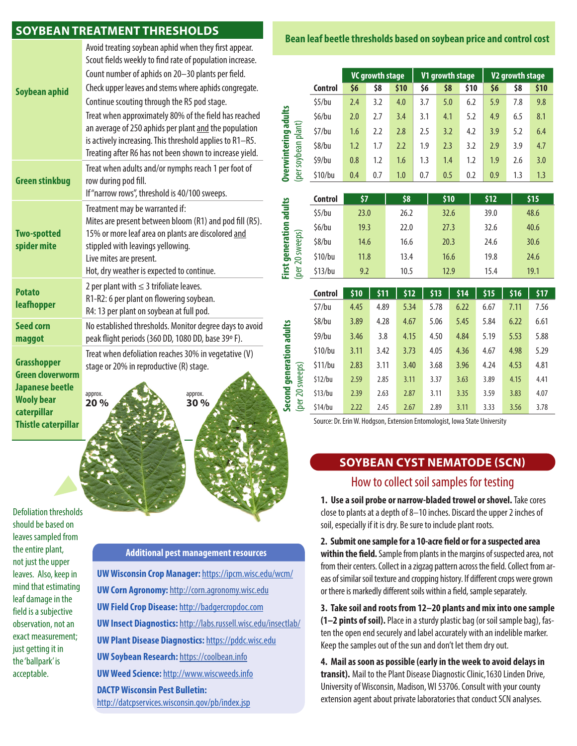#### **SOYBEAN TREATMENT THRESHOLDS**

| Soybean aphid                                                                                                                             | Avoid treating soybean aphid when they first appear.<br>Scout fields weekly to find rate of population increase.<br>Count number of aphids on 20-30 plants per field.<br>Check upper leaves and stems where aphids congregate.<br>Continue scouting through the R5 pod stage.<br>Treat when approximately 80% of the field has reached<br>an average of 250 aphids per plant and the population<br>is actively increasing. This threshold applies to R1-R5.<br>Treating after R6 has not been shown to increase yield. |  |  |  |  |  |  |
|-------------------------------------------------------------------------------------------------------------------------------------------|------------------------------------------------------------------------------------------------------------------------------------------------------------------------------------------------------------------------------------------------------------------------------------------------------------------------------------------------------------------------------------------------------------------------------------------------------------------------------------------------------------------------|--|--|--|--|--|--|
| <b>Green stinkbug</b>                                                                                                                     | Treat when adults and/or nymphs reach 1 per foot of<br>row during pod fill.<br>If "narrow rows", threshold is 40/100 sweeps.                                                                                                                                                                                                                                                                                                                                                                                           |  |  |  |  |  |  |
| <b>Two-spotted</b><br>spider mite                                                                                                         | Treatment may be warranted if:<br>Mites are present between bloom (R1) and pod fill (R5).<br>15% or more leaf area on plants are discolored and<br>stippled with leavings yellowing.<br>Live mites are present.<br>Hot, dry weather is expected to continue.                                                                                                                                                                                                                                                           |  |  |  |  |  |  |
| <b>Potato</b><br>leafhopper                                                                                                               | 2 per plant with $\leq$ 3 trifoliate leaves.<br>R1-R2: 6 per plant on flowering soybean.<br>R4: 13 per plant on soybean at full pod.                                                                                                                                                                                                                                                                                                                                                                                   |  |  |  |  |  |  |
| <b>Seed corn</b><br>maggot                                                                                                                | No established thresholds. Monitor degree days to avoid<br>peak flight periods (360 DD, 1080 DD, base 39°F).                                                                                                                                                                                                                                                                                                                                                                                                           |  |  |  |  |  |  |
| <b>Grasshopper</b><br><b>Green cloverworm</b><br><b>Japanese beetle</b><br><b>Wooly bear</b><br>caterpillar<br><b>Thistle caterpillar</b> | Treat when defoliation reaches 30% in vegetative (V)<br>stage or 20% in reproductive (R) stage.<br>approx.<br>approx.<br>20%<br>30%                                                                                                                                                                                                                                                                                                                                                                                    |  |  |  |  |  |  |
|                                                                                                                                           |                                                                                                                                                                                                                                                                                                                                                                                                                                                                                                                        |  |  |  |  |  |  |

Defoliation thresholds should be based on leaves sampled from the entire plant, not just the upper leaves. Also, keep in mind that estimating leaf damage in the field is a subjective observation, not an exact measurement; just getting it in the 'ballpark' is acceptable.

#### **Additional pest management resources**

**Second generation adults** 

Second generation adults

**UW Wisconsin Crop Manager:** https://ipcm.wisc.edu/wcm/ **UW Corn Agronomy:** http://corn.agronomy.wisc.edu **UW Field Crop Disease:** http://badgercropdoc.com **UW Insect Diagnostics:** http://labs.russell.wisc.edu/insectlab/ **UW Plant Disease Diagnostics:** https://pddc.wisc.edu **UW Soybean Research:** https://coolbean.info **UW Weed Science:** http://www.wiscweeds.info **DACTP Wisconsin Pest Bulletin:** http://datcpservices.wisconsin.gov/pb/index.jsp

#### **Bean leaf beetle thresholds based on soybean price and control cost**

|                                        |                | <b>VC growth stage</b> |     |      |     | V1 growth stage |      | V <sub>2</sub> growth stage |     |      |
|----------------------------------------|----------------|------------------------|-----|------|-----|-----------------|------|-----------------------------|-----|------|
|                                        | <b>Control</b> | \$6                    | \$8 | \$10 | \$6 | \$8             | \$10 | \$6                         | \$8 | \$10 |
| rwintering adults<br>plant)<br>soybean | \$5/bu         | 2.4                    | 3.2 | 4.0  | 3.7 | 5.0             | 6.2  | 5.9                         | 7.8 | 9.8  |
|                                        | \$6/bu         | 2.0                    | 2.7 | 3.4  | 3.1 | 4.1             | 5.2  | 4.9                         | 6.5 | 8.1  |
|                                        | 57/bu          | 1.6                    | 2.2 | 2.8  | 2.5 | 3.2             | 4.2  | 3.9                         | 5.2 | 6.4  |
|                                        | \$8/bu         | 1.2                    | 1.7 | 2.2  | 1.9 | 2.3             | 3.2  | 2.9                         | 3.9 | 4.7  |
|                                        | \$9/bu         | 0.8                    | 1.2 | 1.6  | 1.3 | 1.4             | 1.2  | 1.9                         | 2.6 | 3.0  |
| <b>Dver</b><br>(per                    | \$10/bu        | 0.4                    | 0.7 | 1.0  | 0.7 | 0.5             | 0.2  | 0.9                         | 1.3 | 1.3  |

|                                 | <b>Control</b> | \$7  | \$8  | \$10 | \$12 | \$15 |
|---------------------------------|----------------|------|------|------|------|------|
| adults                          | \$5/bu         | 23.0 | 26.2 | 32.6 | 39.0 | 48.6 |
|                                 | \$6/bu         | 19.3 | 22.0 | 27.3 | 32.6 | 40.6 |
| 20 sweeps)                      | \$8/bu         | 14.6 | 16.6 | 20.3 | 24.6 | 30.6 |
|                                 | \$10/bu        | 11.8 | 13.4 | 16.6 | 19.8 | 24.6 |
| <b>First generation</b><br>(per | \$13/bu        | 9.2  | 10.5 | 12.9 | 15.4 | 19.1 |

|                 | <b>Control</b> | \$10 | \$11 | \$12 | \$13 | \$14 | \$15 | \$16 | \$17 |
|-----------------|----------------|------|------|------|------|------|------|------|------|
|                 | \$7/bu         | 4.45 | 4.89 | 5.34 | 5.78 | 6.22 | 6.67 | 7.11 | 7.56 |
|                 | \$8/bu         | 3.89 | 4.28 | 4.67 | 5.06 | 5.45 | 5.84 | 6.22 | 6.61 |
|                 | \$9/bu         | 3.46 | 3.8  | 4.15 | 4.50 | 4.84 | 5.19 | 5.53 | 5.88 |
|                 | \$10/bu        | 3.11 | 3.42 | 3.73 | 4.05 | 4.36 | 4.67 | 4.98 | 5.29 |
|                 | \$11/bu        | 2.83 | 3.11 | 3.40 | 3.68 | 3.96 | 4.24 | 4.53 | 4.81 |
| sweeps)         | \$12/bu        | 2.59 | 2.85 | 3.11 | 3.37 | 3.63 | 3.89 | 4.15 | 4.41 |
| $\overline{20}$ | \$13/bu        | 2.39 | 2.63 | 2.87 | 3.11 | 3.35 | 3.59 | 3.83 | 4.07 |
| (per            | \$14/bu        | 2.22 | 2.45 | 2.67 | 2.89 | 3.11 | 3.33 | 3.56 | 3.78 |

Source: Dr. Erin W. Hodgson, Extension Entomologist, Iowa State University

#### **SOYBEAN CYST NEMATODE (SCN)**

#### How to collect soil samples for testing

**1. Use a soil probe or narrow-bladed trowel or shovel.** Take cores close to plants at a depth of 8–10 inches. Discard the upper 2 inches of soil, especially if it is dry. Be sure to include plant roots.

**2. Submit one sample for a 10-acre field or for a suspected area within the field.** Sample from plants in the margins of suspected area, not from their centers. Collect in a zigzag pattern across the field. Collect from areas of similar soil texture and cropping history. If different crops were grown or there is markedly different soils within a field, sample separately.

**3. Take soil and roots from 12–20 plants and mix into one sample (1–2 pints of soil).** Place in a sturdy plastic bag (or soil sample bag), fasten the open end securely and label accurately with an indelible marker. Keep the samples out of the sun and don't let them dry out.

**4. Mail as soon as possible (early in the week to avoid delays in transit).** Mail to the Plant Disease Diagnostic Clinic,1630 Linden Drive, University of Wisconsin, Madison, WI 53706. Consult with your county extension agent about private laboratories that conduct SCN analyses.